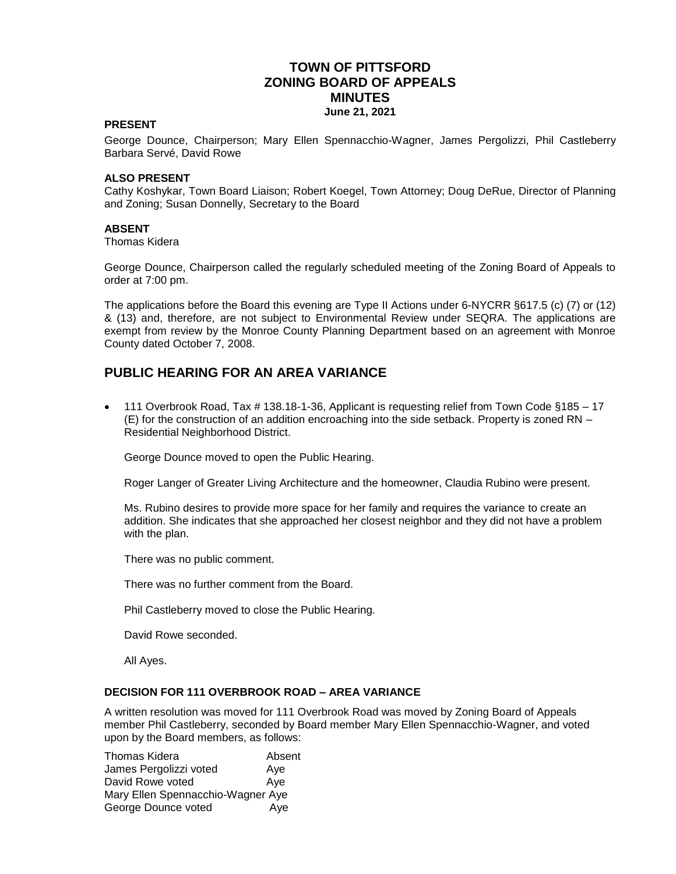# **TOWN OF PITTSFORD ZONING BOARD OF APPEALS MINUTES June 21, 2021**

#### **PRESENT**

George Dounce, Chairperson; Mary Ellen Spennacchio-Wagner, James Pergolizzi, Phil Castleberry Barbara Servé, David Rowe

#### **ALSO PRESENT**

Cathy Koshykar, Town Board Liaison; Robert Koegel, Town Attorney; Doug DeRue, Director of Planning and Zoning; Susan Donnelly, Secretary to the Board

#### **ABSENT**

Thomas Kidera

George Dounce, Chairperson called the regularly scheduled meeting of the Zoning Board of Appeals to order at 7:00 pm.

The applications before the Board this evening are Type II Actions under 6-NYCRR §617.5 (c) (7) or (12) & (13) and, therefore, are not subject to Environmental Review under SEQRA. The applications are exempt from review by the Monroe County Planning Department based on an agreement with Monroe County dated October 7, 2008.

# **PUBLIC HEARING FOR AN AREA VARIANCE**

 111 Overbrook Road, Tax # 138.18-1-36, Applicant is requesting relief from Town Code §185 – 17 (E) for the construction of an addition encroaching into the side setback. Property is zoned RN – Residential Neighborhood District.

George Dounce moved to open the Public Hearing.

Roger Langer of Greater Living Architecture and the homeowner, Claudia Rubino were present.

Ms. Rubino desires to provide more space for her family and requires the variance to create an addition. She indicates that she approached her closest neighbor and they did not have a problem with the plan.

There was no public comment.

There was no further comment from the Board.

Phil Castleberry moved to close the Public Hearing.

David Rowe seconded.

All Ayes.

### **DECISION FOR 111 OVERBROOK ROAD – AREA VARIANCE**

A written resolution was moved for 111 Overbrook Road was moved by Zoning Board of Appeals member Phil Castleberry, seconded by Board member Mary Ellen Spennacchio-Wagner, and voted upon by the Board members, as follows:

Thomas Kidera **Absent** James Pergolizzi voted Ave David Rowe voted Aye Mary Ellen Spennacchio-Wagner Aye George Dounce voted Aye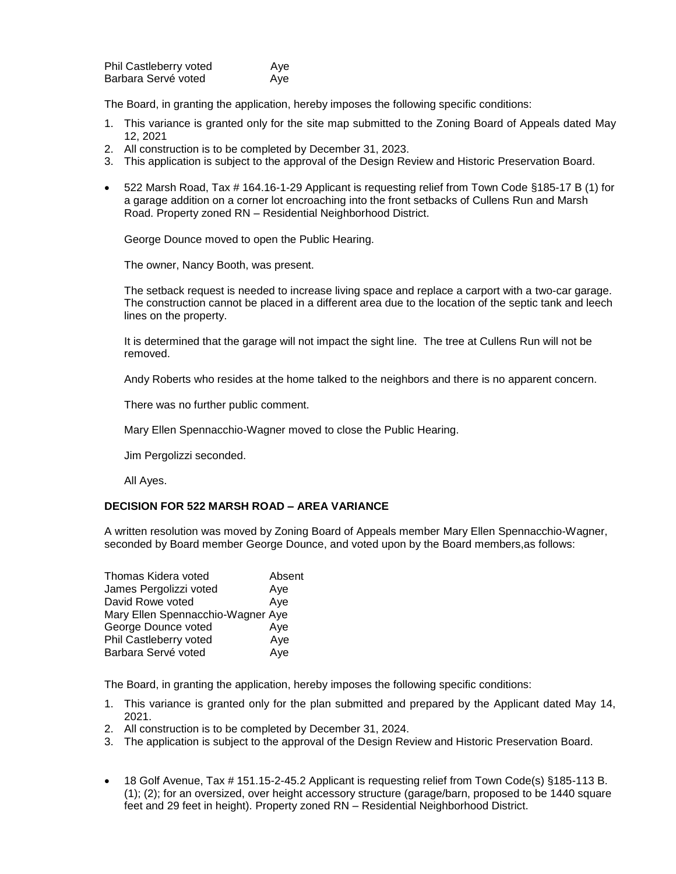| Phil Castleberry voted | Ave |
|------------------------|-----|
| Barbara Servé voted    | Ave |

The Board, in granting the application, hereby imposes the following specific conditions:

- 1. This variance is granted only for the site map submitted to the Zoning Board of Appeals dated May 12, 2021
- 2. All construction is to be completed by December 31, 2023.
- 3. This application is subject to the approval of the Design Review and Historic Preservation Board.
- 522 Marsh Road, Tax # 164.16-1-29 Applicant is requesting relief from Town Code §185-17 B (1) for a garage addition on a corner lot encroaching into the front setbacks of Cullens Run and Marsh Road. Property zoned RN – Residential Neighborhood District.

George Dounce moved to open the Public Hearing.

The owner, Nancy Booth, was present.

The setback request is needed to increase living space and replace a carport with a two-car garage. The construction cannot be placed in a different area due to the location of the septic tank and leech lines on the property.

It is determined that the garage will not impact the sight line. The tree at Cullens Run will not be removed.

Andy Roberts who resides at the home talked to the neighbors and there is no apparent concern.

There was no further public comment.

Mary Ellen Spennacchio-Wagner moved to close the Public Hearing.

Jim Pergolizzi seconded.

All Ayes.

#### **DECISION FOR 522 MARSH ROAD – AREA VARIANCE**

A written resolution was moved by Zoning Board of Appeals member Mary Ellen Spennacchio-Wagner, seconded by Board member George Dounce, and voted upon by the Board members,as follows:

| Thomas Kidera voted               | Absent |
|-----------------------------------|--------|
| James Pergolizzi voted            | Aye    |
| David Rowe voted                  | Aye    |
| Mary Ellen Spennacchio-Wagner Aye |        |
| George Dounce voted               | Aye    |
| Phil Castleberry voted            | Aye    |
| Barbara Servé voted               | Aye    |

The Board, in granting the application, hereby imposes the following specific conditions:

- 1. This variance is granted only for the plan submitted and prepared by the Applicant dated May 14, 2021.
- 2. All construction is to be completed by December 31, 2024.
- 3. The application is subject to the approval of the Design Review and Historic Preservation Board.
- 18 Golf Avenue, Tax # 151.15-2-45.2 Applicant is requesting relief from Town Code(s) §185-113 B. (1); (2); for an oversized, over height accessory structure (garage/barn, proposed to be 1440 square feet and 29 feet in height). Property zoned RN – Residential Neighborhood District.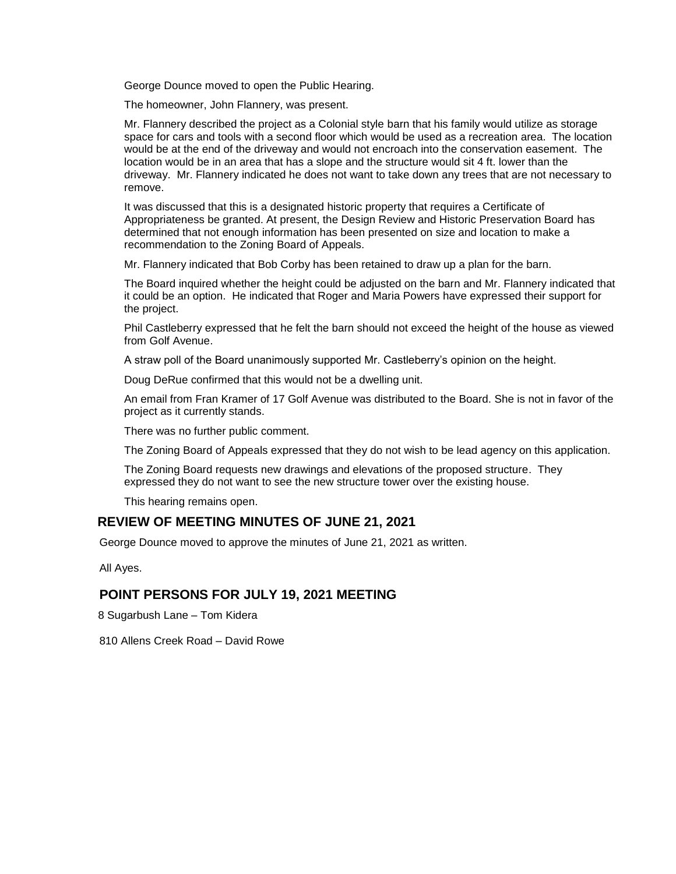George Dounce moved to open the Public Hearing.

The homeowner, John Flannery, was present.

Mr. Flannery described the project as a Colonial style barn that his family would utilize as storage space for cars and tools with a second floor which would be used as a recreation area. The location would be at the end of the driveway and would not encroach into the conservation easement. The location would be in an area that has a slope and the structure would sit 4 ft. lower than the driveway. Mr. Flannery indicated he does not want to take down any trees that are not necessary to remove.

It was discussed that this is a designated historic property that requires a Certificate of Appropriateness be granted. At present, the Design Review and Historic Preservation Board has determined that not enough information has been presented on size and location to make a recommendation to the Zoning Board of Appeals.

Mr. Flannery indicated that Bob Corby has been retained to draw up a plan for the barn.

The Board inquired whether the height could be adjusted on the barn and Mr. Flannery indicated that it could be an option. He indicated that Roger and Maria Powers have expressed their support for the project.

Phil Castleberry expressed that he felt the barn should not exceed the height of the house as viewed from Golf Avenue.

A straw poll of the Board unanimously supported Mr. Castleberry's opinion on the height.

Doug DeRue confirmed that this would not be a dwelling unit.

An email from Fran Kramer of 17 Golf Avenue was distributed to the Board. She is not in favor of the project as it currently stands.

There was no further public comment.

The Zoning Board of Appeals expressed that they do not wish to be lead agency on this application.

The Zoning Board requests new drawings and elevations of the proposed structure. They expressed they do not want to see the new structure tower over the existing house.

This hearing remains open.

# **REVIEW OF MEETING MINUTES OF JUNE 21, 2021**

George Dounce moved to approve the minutes of June 21, 2021 as written.

All Ayes.

## **POINT PERSONS FOR JULY 19, 2021 MEETING**

8 Sugarbush Lane – Tom Kidera

810 Allens Creek Road – David Rowe